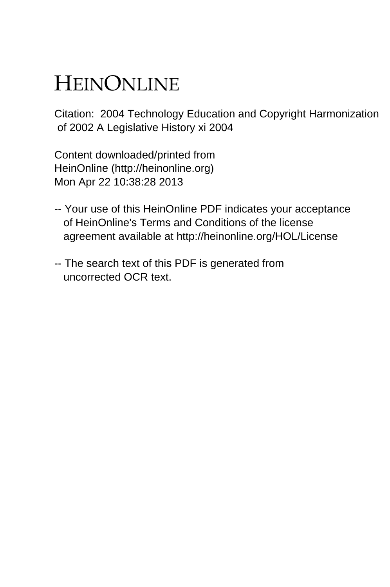# HEINONLINE

Citation: 2004 Technology Education and Copyright Harmonization of 2002 A Legislative History xi 2004

Content downloaded/printed from HeinOnline (http://heinonline.org) Mon Apr 22 10:38:28 2013

- -- Your use of this HeinOnline PDF indicates your acceptance of HeinOnline's Terms and Conditions of the license agreement available at http://heinonline.org/HOL/License
- -- The search text of this PDF is generated from uncorrected OCR text.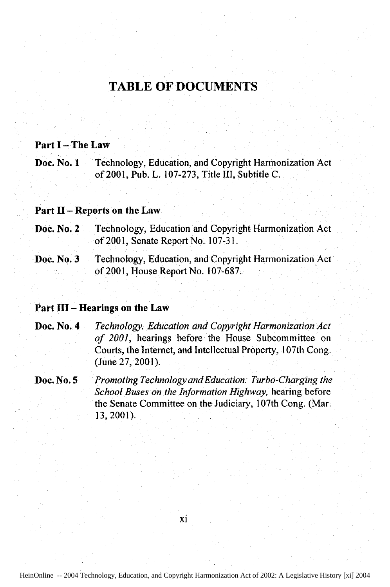### **TABLE OF DOCUMENTS**

#### **Part I - The Law**

**Doc.** No. **1** Technology, Education, and Copyright Harmonization Act of 2001, Pub. L. **107-273,** Title **III,** Subtitle **C.**

#### **Part II - Reports on the Law**

- **Doc. No. 2** Technology, Education and Copyright Harmonization Act of 2001, Senate Report No. 107-31.
- Doc. No. 3 Fechnology, Education, and Copyright Harmonization Act of 2001, House Report No. 107-687.

#### **Part IH -** Hearings on **the Law**

- Doc. No. 4 *Technology, Education and Copyright Harmonization Act of 2001,* hearings before the House Subcommittee on Courts, the Internet, and Intellectual Property, 107th Cong. (June **27,** 2001).
- Doc. No. **5** *Promoting Technology andEducation: Turbo-Charging the School Buses on the Information Highway,* hearing before the Senate Committee on the Judiciary, 107th Cong. (Mar. **13, 2001).**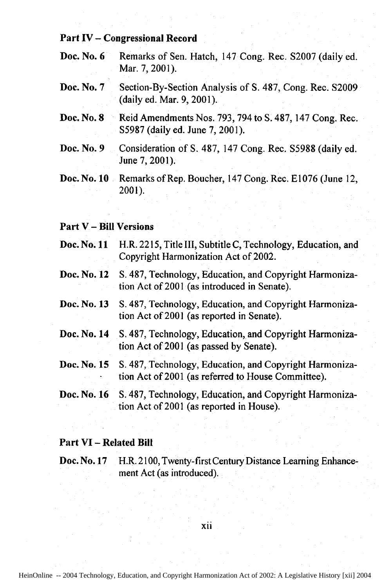#### Part IV **-** Congressional Record

- Doc. No. 6 Remarks of Sen. Hatch, 147 Cong. Rec. S2007 (daily ed. Mar. 7, 2001).
- Doc. No. **7** Section-By-Section Analysis of S. 487, Cong. Rec. S2009 (daily ed. Mar. 9, 2001).
- Doc. No. 8 Reid Amendments Nos. 793, 794 to **S.** 487, 147 Cong. Rec. S5987 (daily ed. June 7, 2001).
- Doc. No. 9 Consideration of **S.** 487, 147 Cong. Rec. S5988 (daily ed. June 7, 2001).
- Doc. No. 10 Remarks of Rep. Boucher, 147 Cong. Rec. E1076 (June 12, 2001).

#### Part V **-** Bill Versions

- Doc. No. **11** H.R. **2215,** Title **III,** Subtitle **C,** Technology, Education, and Copyright Harmonization Act of 2002.
- Doc. No. 12 **S. 487,** Technology, Education, and Copyright Harmonization Act of 2001 (as introduced in Senate).
- Doc. No. 13 S. 487, Technology, Education, and Copyright Harmonization Act of 2001 (as reported in Senate).
- Doc. No. 14 **S. 487,** Technology, Education, and Copyright Harmonization Act of 2001 (as passed **by** Senate).
- Doc. No. **15 S. 487,** Technology, Education, and Copyright Harmonization Act of 2001 (as referred to House Committee).
- Doc. No. **16 S. 487,** Technology, Education, and Copyright Harmonization Act of 2001 (as reported in House).

#### Part **VI -** Related Bill

Doc. No. 17 H.R. 2100, Twenty-first Century Distance Learning Enhancement Act (as introduced).

#### xii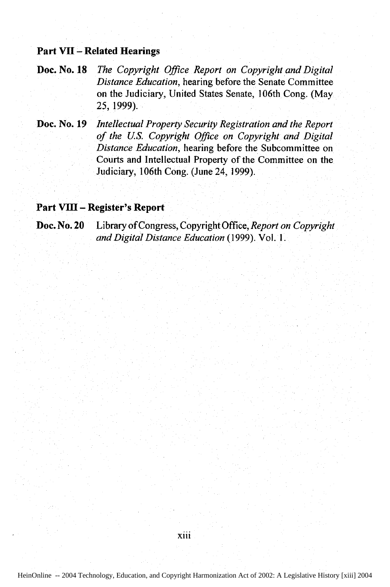#### **Part VII - Related Hearings**

#### **Doc.** No. **18** *The Copyright Office Report on Copyright and Digital Distance Education,* hearing before the Senate Committee on the Judiciary, United States Senate, 106th Cong. (May 25, 1999).

#### Doc. No. **19** *Intellectual Property Security Registration and the Report of the US. Copyright Office on Copyright and Digital Distance Education,* hearing before the Subcommittee on Courts and Intellectual Property of the Committee on the Judiciary, 106th Cong. (June 24, 1999).

#### **Part VIII - Register's Report**

#### Library of Congress, Copyright Office, *Report on Copyright and Digital Distance Education* (1999). Vol. 1. **Doc. No. 20**

xiii